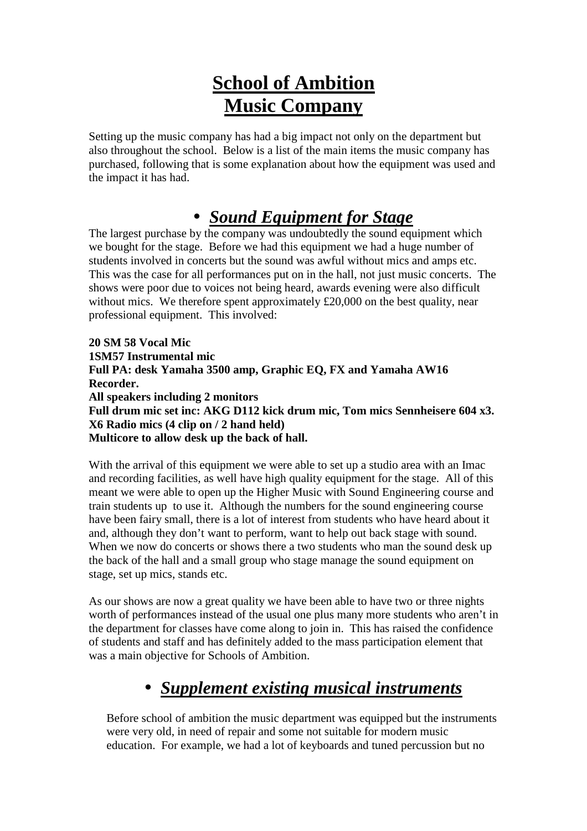## **School of Ambition Music Company**

Setting up the music company has had a big impact not only on the department but also throughout the school. Below is a list of the main items the music company has purchased, following that is some explanation about how the equipment was used and the impact it has had.

## • *Sound Equipment for Stage*

The largest purchase by the company was undoubtedly the sound equipment which we bought for the stage. Before we had this equipment we had a huge number of students involved in concerts but the sound was awful without mics and amps etc. This was the case for all performances put on in the hall, not just music concerts. The shows were poor due to voices not being heard, awards evening were also difficult without mics. We therefore spent approximately £20,000 on the best quality, near professional equipment. This involved:

**20 SM 58 Vocal Mic 1SM57 Instrumental mic Full PA: desk Yamaha 3500 amp, Graphic EQ, FX and Yamaha AW16 Recorder. All speakers including 2 monitors Full drum mic set inc: AKG D112 kick drum mic, Tom mics Sennheisere 604 x3. X6 Radio mics (4 clip on / 2 hand held) Multicore to allow desk up the back of hall.** 

With the arrival of this equipment we were able to set up a studio area with an Imac and recording facilities, as well have high quality equipment for the stage. All of this meant we were able to open up the Higher Music with Sound Engineering course and train students up to use it. Although the numbers for the sound engineering course have been fairy small, there is a lot of interest from students who have heard about it and, although they don't want to perform, want to help out back stage with sound. When we now do concerts or shows there a two students who man the sound desk up the back of the hall and a small group who stage manage the sound equipment on stage, set up mics, stands etc.

As our shows are now a great quality we have been able to have two or three nights worth of performances instead of the usual one plus many more students who aren't in the department for classes have come along to join in. This has raised the confidence of students and staff and has definitely added to the mass participation element that was a main objective for Schools of Ambition.

## • *Supplement existing musical instruments*

Before school of ambition the music department was equipped but the instruments were very old, in need of repair and some not suitable for modern music education. For example, we had a lot of keyboards and tuned percussion but no